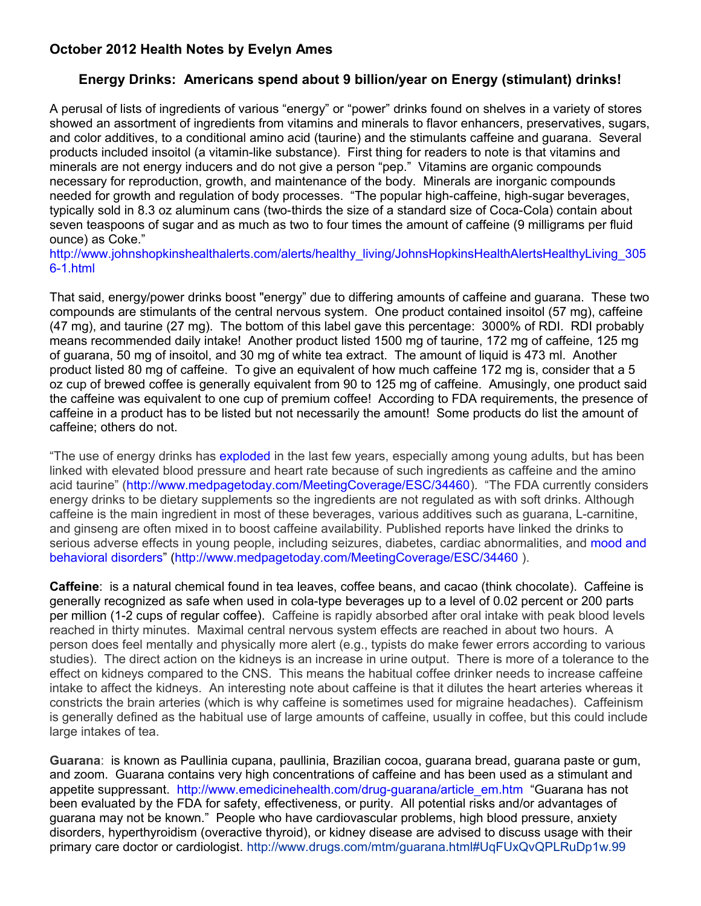## **October 2012 Health Notes by Evelyn Ames**

## **Energy Drinks: Americans spend about 9 billion/year on Energy (stimulant) drinks!**

A perusal of lists of ingredients of various "energy" or "power" drinks found on shelves in a variety of stores showed an assortment of ingredients from vitamins and minerals to flavor enhancers, preservatives, sugars, and color additives, to a conditional amino acid (taurine) and the stimulants caffeine and guarana. Several products included insoitol (a vitamin-like substance). First thing for readers to note is that vitamins and minerals are not energy inducers and do not give a person "pep." Vitamins are organic compounds necessary for reproduction, growth, and maintenance of the body. Minerals are inorganic compounds needed for growth and regulation of body processes. "The popular high-caffeine, high-sugar beverages, typically sold in 8.3 oz aluminum cans (two-thirds the size of a standard size of Coca-Cola) contain about seven teaspoons of sugar and as much as two to four times the amount of caffeine (9 milligrams per fluid ounce) as Coke."

[http://www.johnshopkinshealthalerts.com/alerts/healthy\\_living/JohnsHopkinsHealthAlertsHealthyLiving\\_305](http://www.johnshopkinshealthalerts.com/alerts/healthy_living/JohnsHopkinsHealthAlertsHealthyLiving_3056-1.html) [6-1.html](http://www.johnshopkinshealthalerts.com/alerts/healthy_living/JohnsHopkinsHealthAlertsHealthyLiving_3056-1.html)

That said, energy/power drinks boost "energy" due to differing amounts of caffeine and guarana. These two compounds are stimulants of the central nervous system. One product contained insoitol (57 mg), caffeine (47 mg), and taurine (27 mg). The bottom of this label gave this percentage: 3000% of RDI. RDI probably means recommended daily intake! Another product listed 1500 mg of taurine, 172 mg of caffeine, 125 mg of guarana, 50 mg of insoitol, and 30 mg of white tea extract. The amount of liquid is 473 ml. Another product listed 80 mg of caffeine. To give an equivalent of how much caffeine 172 mg is, consider that a 5 oz cup of brewed coffee is generally equivalent from 90 to 125 mg of caffeine. Amusingly, one product said the caffeine was equivalent to one cup of premium coffee! According to FDA requirements, the presence of caffeine in a product has to be listed but not necessarily the amount! Some products do list the amount of caffeine; others do not.

"The use of energy drinks has [exploded](http://www.medpagetoday.com/Pediatrics/GeneralPediatrics/24856) in the last few years, especially among young adults, but has been linked with elevated blood pressure and heart rate because of such ingredients as caffeine and the amino acid taurine" [\(http://www.medpagetoday.com/MeetingCoverage/ESC/34460\)](http://www.medpagetoday.com/MeetingCoverage/ESC/34460). "The FDA currently considers energy drinks to be dietary supplements so the ingredients are not regulated as with soft drinks. Although caffeine is the main ingredient in most of these beverages, various additives such as guarana, L-carnitine, and ginseng are often mixed in to boost caffeine availability. Published reports have linked the drinks to serious adverse effects in young people, including seizures, diabetes, cardiac abnormalities, and [mood and](http://www.medpagetoday.com/Psychiatry/Addictions/25967) [behavioral disorders"](http://www.medpagetoday.com/Psychiatry/Addictions/25967) [\(http://www.medpagetoday.com/MeetingCoverage/ESC/34460](http://www.medpagetoday.com/MeetingCoverage/ESC/34460) ).

**Caffeine**: is a natural chemical found in tea leaves, coffee beans, and cacao (think chocolate). Caffeine is generally recognized as safe when used in cola-type beverages up to a level of 0.02 percent or 200 parts per million (1-2 cups of regular coffee). Caffeine is rapidly absorbed after oral intake with peak blood levels reached in thirty minutes. Maximal central nervous system effects are reached in about two hours. A person does feel mentally and physically more alert (e.g., typists do make fewer errors according to various studies). The direct action on the kidneys is an increase in urine output. There is more of a tolerance to the effect on kidneys compared to the CNS. This means the habitual coffee drinker needs to increase caffeine intake to affect the kidneys. An interesting note about caffeine is that it dilutes the heart arteries whereas it constricts the brain arteries (which is why caffeine is sometimes used for migraine headaches). Caffeinism is generally defined as the habitual use of large amounts of caffeine, usually in coffee, but this could include large intakes of tea.

**Guarana**: is known as Paullinia cupana, paullinia, Brazilian cocoa, guarana bread, guarana paste or gum, and zoom. Guarana contains very high concentrations of caffeine and has been used as a stimulant and appetite suppressant. [http://www.emedicinehealth.com/drug-guarana/article\\_em.htm](http://www.emedicinehealth.com/drug-guarana/article_em.htm) "Guarana has not been evaluated by the FDA for safety, effectiveness, or purity. All potential risks and/or advantages of guarana may not be known." People who have cardiovascular problems, high blood pressure, anxiety disorders, hyperthyroidism (overactive thyroid), or kidney disease are advised to discuss usage with their primary care doctor or cardiologist. <http://www.drugs.com/mtm/guarana.html#UqFUxQvQPLRuDp1w.99>